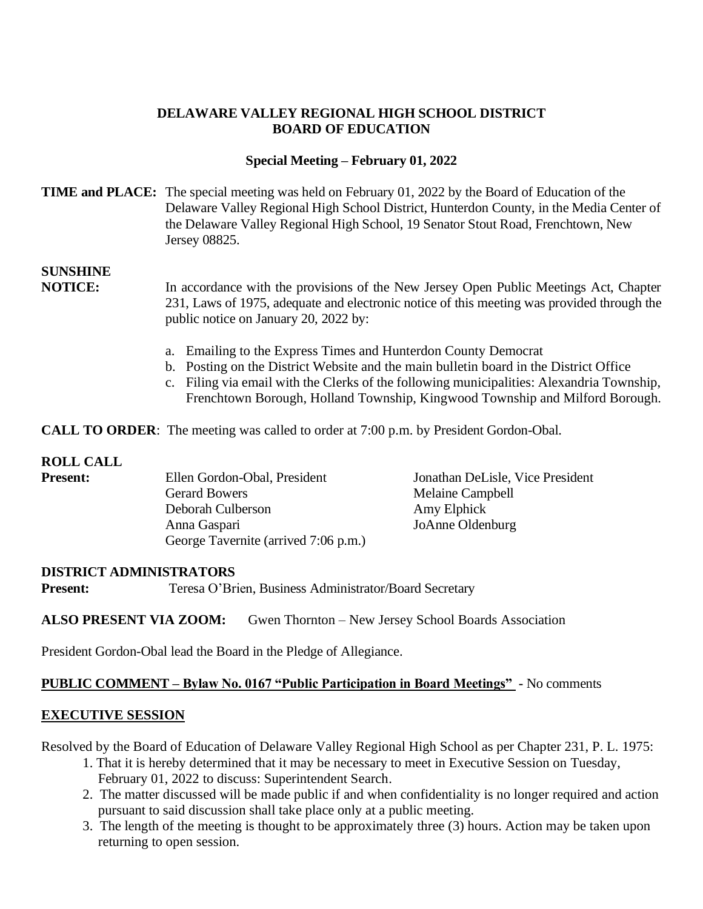### **DELAWARE VALLEY REGIONAL HIGH SCHOOL DISTRICT BOARD OF EDUCATION**

#### **Special Meeting – February 01, 2022**

#### **TIME and PLACE:** The special meeting was held on February 01, 2022 by the Board of Education of the Delaware Valley Regional High School District, Hunterdon County, in the Media Center of the Delaware Valley Regional High School, 19 Senator Stout Road, Frenchtown, New Jersey 08825.

# **SUNSHINE**

**NOTICE:** In accordance with the provisions of the New Jersey Open Public Meetings Act, Chapter 231, Laws of 1975, adequate and electronic notice of this meeting was provided through the public notice on January 20, 2022 by:

- a. Emailing to the Express Times and Hunterdon County Democrat
- b. Posting on the District Website and the main bulletin board in the District Office
- c. Filing via email with the Clerks of the following municipalities: Alexandria Township, Frenchtown Borough, Holland Township, Kingwood Township and Milford Borough.

**CALL TO ORDER:** The meeting was called to order at 7:00 p.m. by President Gordon-Obal.

#### **ROLL CALL**

| <b>Present:</b> | Ellen Gordon-Obal, President         | Jonathan DeLisle, Vice President |
|-----------------|--------------------------------------|----------------------------------|
|                 | <b>Gerard Bowers</b>                 | Melaine Campbell                 |
|                 | Deborah Culberson                    | Amy Elphick                      |
|                 | Anna Gaspari                         | JoAnne Oldenburg                 |
|                 | George Tavernite (arrived 7:06 p.m.) |                                  |

#### **DISTRICT ADMINISTRATORS**

**Present:** Teresa O'Brien, Business Administrator/Board Secretary

**ALSO PRESENT VIA ZOOM:** Gwen Thornton – New Jersey School Boards Association

President Gordon-Obal lead the Board in the Pledge of Allegiance.

#### **PUBLIC COMMENT – Bylaw No. 0167 "Public Participation in Board Meetings" -** No comments

#### **EXECUTIVE SESSION**

Resolved by the Board of Education of Delaware Valley Regional High School as per Chapter 231, P. L. 1975:

- 1. That it is hereby determined that it may be necessary to meet in Executive Session on Tuesday, February 01, 2022 to discuss: Superintendent Search.
- 2. The matter discussed will be made public if and when confidentiality is no longer required and action pursuant to said discussion shall take place only at a public meeting.
- 3. The length of the meeting is thought to be approximately three (3) hours. Action may be taken upon returning to open session.